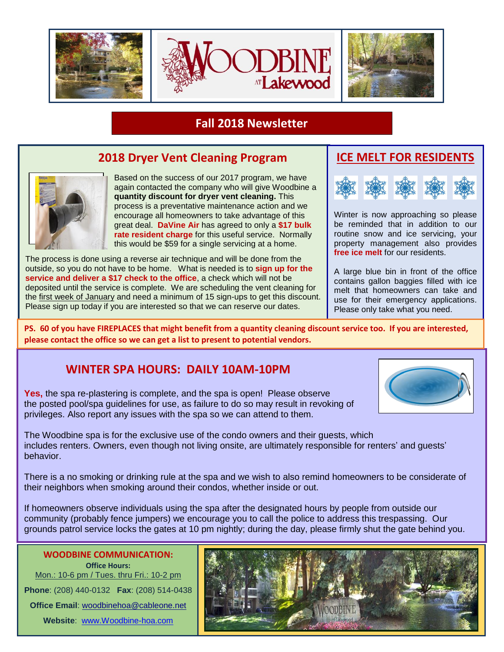

## **Fall 2018 Newsletter**

## **2018 Dryer Vent Cleaning Program**



Based on the success of our 2017 program, we have again contacted the company who will give Woodbine a **quantity discount for dryer vent cleaning.** This process is a preventative maintenance action and we encourage all homeowners to take advantage of this great deal. **DaVine Air** has agreed to only a **\$17 bulk rate resident charge** for this useful service. Normally this would be \$59 for a single servicing at a home.

The process is done using a reverse air technique and will be done from the outside, so you do not have to be home. What is needed is to **sign up for the service and deliver a \$17 check to the office**, a check which will not be deposited until the service is complete. We are scheduling the vent cleaning for the first week of January and need a minimum of 15 sign-ups to get this discount. Please sign up today if you are interested so that we can reserve our dates.

## **ICE MELT FOR RESIDENTS**



Winter is now approaching so please be reminded that in addition to our routine snow and ice servicing, your property management also provides **free ice melt** for our residents.

A large blue bin in front of the office contains gallon baggies filled with ice melt that homeowners can take and use for their emergency applications. Please only take what you need.

**PS. 60 of you have FIREPLACES that might benefit from a quantity cleaning discount service too. If you are interested, please contact the office so we can get a list to present to potential vendors.** 

### **WINTER SPA HOURS: DAILY 10AM-10PM**

**Yes,** the spa re-plastering is complete, and the spa is open! Please observe the posted pool/spa guidelines for use, as failure to do so may result in revoking of privileges. Also report any issues with the spa so we can attend to them.

The Woodbine spa is for the exclusive use of the condo owners and their guests, which includes renters. Owners, even though not living onsite, are ultimately responsible for renters' and guests' behavior.

There is a no smoking or drinking rule at the spa and we wish to also remind homeowners to be considerate of their neighbors when smoking around their condos, whether inside or out.

If homeowners observe individuals using the spa after the designated hours by people from outside our community (probably fence jumpers) we encourage you to call the police to address this trespassing. Our grounds patrol service locks the gates at 10 pm nightly; during the day, please firmly shut the gate behind you.

**WOODBINE COMMUNICATION: Office Hours:** Mon.: 10-6 pm / Tues. thru Fri.: 10-2 pm **Phone**: (208) 440-0132 **Fax**: (208) 514-0438 **Office Email**: [woodbinehoa@cableone.net](mailto:woodbinehoa@cableone.net) **Website**: [www.Woodbine-hoa.com](http://www.woodbine-hoa.com/)